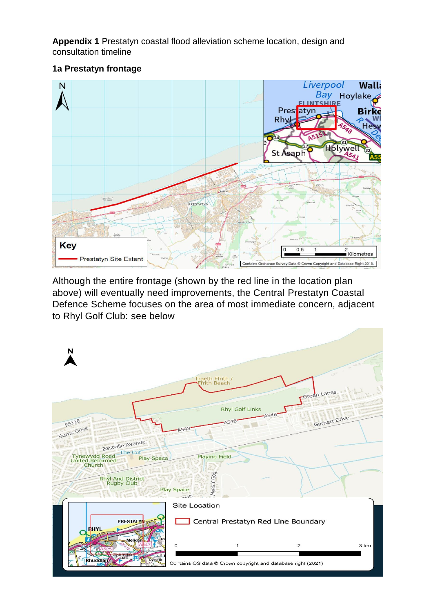**Appendix 1** Prestatyn coastal flood alleviation scheme location, design and consultation timeline

### **1a Prestatyn frontage**



Although the entire frontage (shown by the red line in the location plan above) will eventually need improvements, the Central Prestatyn Coastal Defence Scheme focuses on the area of most immediate concern, adjacent to Rhyl Golf Club: see below

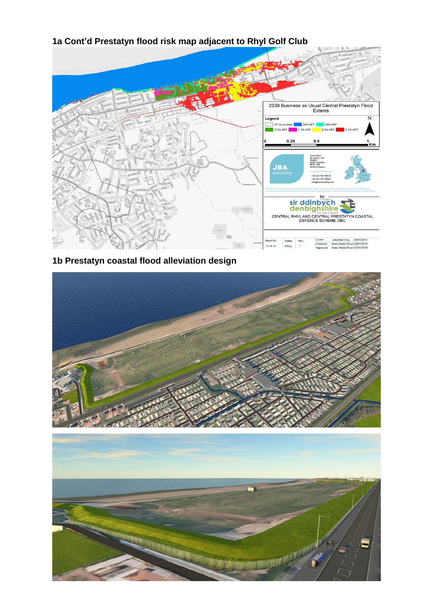## 2038 Business as Usual Central Prestatyn Flood<br>Extents Legend  $\overline{\mathsf{N}}$ USON<br>CP Study Area **1999 1999 ADP 1999 ADP** 3.3% AEP 2019 ADP 2019 ADP 2019 1999 ADP 2019 1999 ADP 2019 ADP 2019 ADP 2<br>2019 3.3% AEP 2019 2019 ADP 2019 ADP 2019 ADP 2019 ADP 2019 ADP 2019 ADP 2019 ADP 2019 ADP 2019 ADP 201  $0.5$  $0.25$ Km Skipton<br>North Yorkshire<br>BD23 3AE<br>Llaited Kleaders **JBA** +44 (0)1756 :<br>+44 (0)1756 : fo sir ddinbych<br>denbighshire COUNTRAL RHYL AND CENTRAL PRESTATYN COASTAL<br>DEFENCE SCHEME OBC Drawn Jonathan King 23/01/2019<br>Checked Anne-Marie Moon 23/01/2019<br>Approved Anne-Marie Moon 23/01/2019 Status: Rev<br>FINAL 1 10 of 16

# **1a Cont'd Prestatyn flood risk map adjacent to Rhyl Golf Club**

### **1b Prestatyn coastal flood alleviation design**